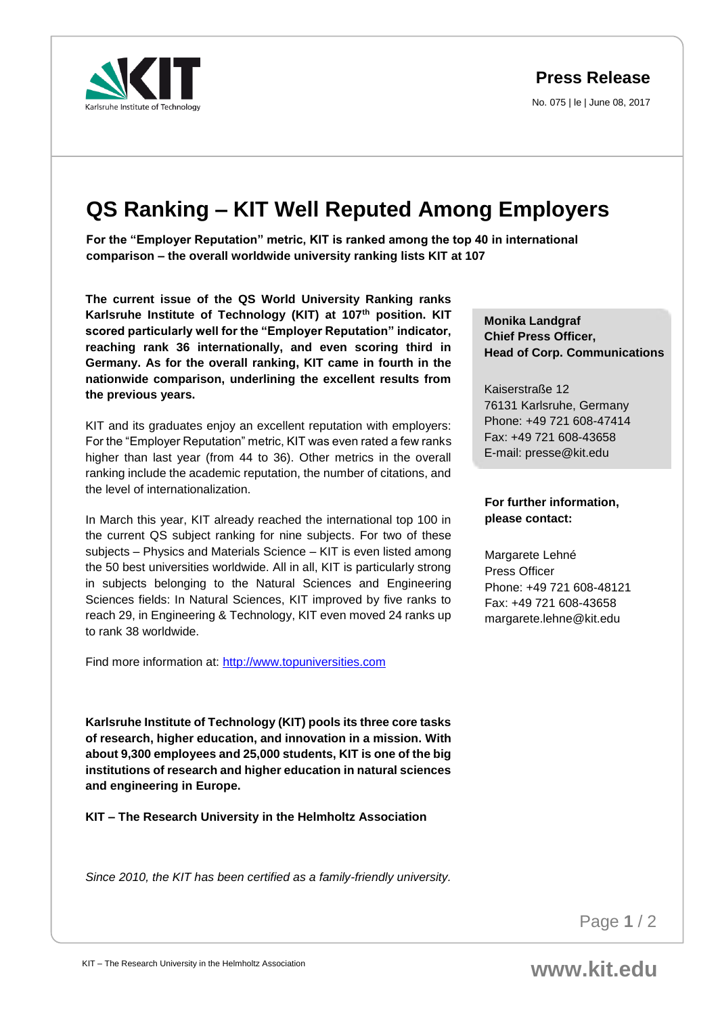**Press Release**

No. 075 | le | June 08, 2017

## **QS Ranking – KIT Well Reputed Among Employers**

**For the "Employer Reputation" metric, KIT is ranked among the top 40 in international comparison – the overall worldwide university ranking lists KIT at 107**

**The current issue of the QS World University Ranking ranks Karlsruhe Institute of Technology (KIT) at 107th position. KIT scored particularly well for the "Employer Reputation" indicator, reaching rank 36 internationally, and even scoring third in Germany. As for the overall ranking, KIT came in fourth in the nationwide comparison, underlining the excellent results from the previous years.**

KIT and its graduates enjoy an excellent reputation with employers: For the "Employer Reputation" metric, KIT was even rated a few ranks higher than last year (from 44 to 36). Other metrics in the overall ranking include the academic reputation, the number of citations, and the level of internationalization.

In March this year, KIT already reached the international top 100 in the current QS subject ranking for nine subjects. For two of these subjects – Physics and Materials Science – KIT is even listed among the 50 best universities worldwide. All in all, KIT is particularly strong in subjects belonging to the Natural Sciences and Engineering Sciences fields: In Natural Sciences, KIT improved by five ranks to reach 29, in Engineering & Technology, KIT even moved 24 ranks up to rank 38 worldwide.

Find more information at: [http://www.topuniversities.com](http://www.topuniversities.com/)

**Karlsruhe Institute of Technology (KIT) pools its three core tasks of research, higher education, and innovation in a mission. With about 9,300 employees and 25,000 students, KIT is one of the big institutions of research and higher education in natural sciences and engineering in Europe.**

**KIT – The Research University in the Helmholtz Association**

*Since 2010, the KIT has been certified as a family-friendly university.*

**Monika Landgraf Chief Press Officer, Head of Corp. Communications** 

Kaiserstraße 12 76131 Karlsruhe, Germany Phone: +49 721 608-47414 Fax: +49 721 608-43658 E-mail: presse@kit.edu

## **For further information, please contact:**

Margarete Lehné Press Officer Phone: +49 721 608-48121 Fax: +49 721 608-43658 margarete.lehne@kit.edu